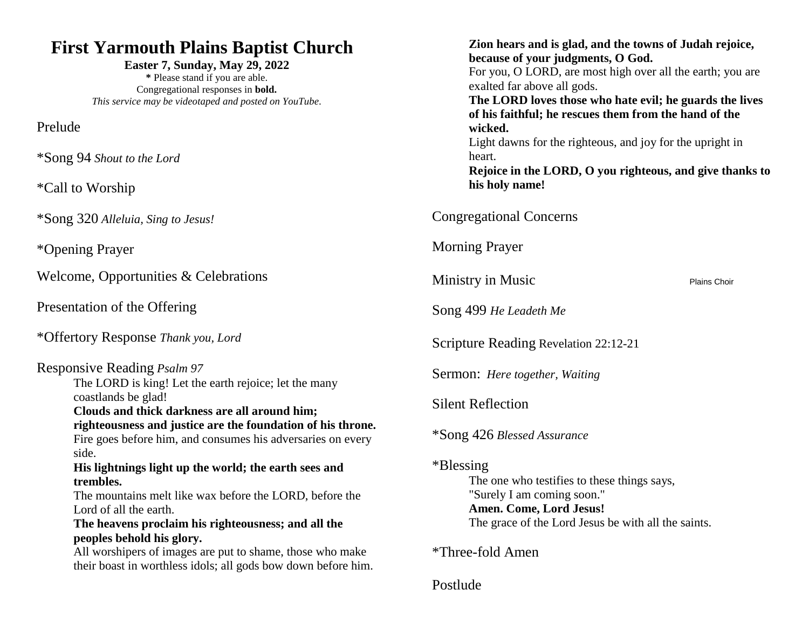### **First Yarmouth Plains Baptist Church**

**Easter 7, Sunday, May 29, 2022 \*** Please stand if you are able. Congregational responses in **bold.** *This service may be videotaped and posted on YouTube.*

Prelude

\*Song 94 *Shout to the Lord*

\*Call to Worship

\*Song 320 *Alleluia, Sing to Jesus!*

\*Opening Prayer

Welcome, Opportunities & Celebrations

Presentation of the Offering

\*Offertory Response *Thank you, Lord*

### Responsive Reading *Psalm 97*

The LORD is king! Let the earth rejoice; let the many coastlands be glad!

**Clouds and thick darkness are all around him; righteousness and justice are the foundation of his throne.** Fire goes before him, and consumes his adversaries on every

side.

**His lightnings light up the world; the earth sees and trembles.**

The mountains melt like wax before the LORD, before the Lord of all the earth.

**The heavens proclaim his righteousness; and all the peoples behold his glory.**

All worshipers of images are put to shame, those who make their boast in worthless idols; all gods bow down before him.

| Zion hears and is glad, and the towns of Judah rejoice,<br>because of your judgments, O God.<br>For you, O LORD, are most high over all the earth; you are<br>exalted far above all gods.<br>The LORD loves those who hate evil; he guards the lives<br>of his faithful; he rescues them from the hand of the |
|---------------------------------------------------------------------------------------------------------------------------------------------------------------------------------------------------------------------------------------------------------------------------------------------------------------|
| wicked.<br>Light dawns for the righteous, and joy for the upright in<br>heart.<br>Rejoice in the LORD, O you righteous, and give thanks to<br>his holy name!                                                                                                                                                  |
| <b>Congregational Concerns</b>                                                                                                                                                                                                                                                                                |
| <b>Morning Prayer</b>                                                                                                                                                                                                                                                                                         |
| Ministry in Music<br>Plains Choir                                                                                                                                                                                                                                                                             |
| Song 499 He Leadeth Me                                                                                                                                                                                                                                                                                        |
| Scripture Reading Revelation 22:12-21                                                                                                                                                                                                                                                                         |
| Sermon: <i>Here together</i> , <i>Waiting</i>                                                                                                                                                                                                                                                                 |
| <b>Silent Reflection</b>                                                                                                                                                                                                                                                                                      |
| *Song 426 Blessed Assurance                                                                                                                                                                                                                                                                                   |
| *Blessing*<br>The one who testifies to these things says,<br>"Surely I am coming soon."<br>Amen. Come, Lord Jesus!<br>The grace of the Lord Jesus be with all the saints.                                                                                                                                     |
| *Three-fold Amen                                                                                                                                                                                                                                                                                              |
| Postlude                                                                                                                                                                                                                                                                                                      |